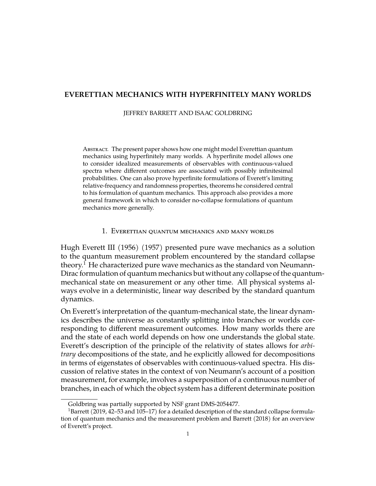# **EVERETTIAN MECHANICS WITH HYPERFINITELY MANY WORLDS**

JEFFREY BARRETT AND ISAAC GOLDBRING

Abstract. The present paper shows how one might model Everettian quantum mechanics using hyperfinitely many worlds. A hyperfinite model allows one to consider idealized measurements of observables with continuous-valued spectra where different outcomes are associated with possibly infinitesimal probabilities. One can also prove hyperfinite formulations of Everett's limiting relative-frequency and randomness properties, theorems he considered central to his formulation of quantum mechanics. This approach also provides a more general framework in which to consider no-collapse formulations of quantum mechanics more generally.

#### 1. Everettian quantum mechanics and many worlds

Hugh Everett III (1956) (1957) presented pure wave mechanics as a solution to the quantum measurement problem encountered by the standard collapse theory.[1](#page-0-0) He characterized pure wave mechanics as the standard von Neumann-Dirac formulation of quantum mechanics but without any collapse of the quantummechanical state on measurement or any other time. All physical systems always evolve in a deterministic, linear way described by the standard quantum dynamics.

On Everett's interpretation of the quantum-mechanical state, the linear dynamics describes the universe as constantly splitting into branches or worlds corresponding to different measurement outcomes. How many worlds there are and the state of each world depends on how one understands the global state. Everett's description of the principle of the relativity of states allows for *arbitrary* decompositions of the state, and he explicitly allowed for decompositions in terms of eigenstates of observables with continuous-valued spectra. His discussion of relative states in the context of von Neumann's account of a position measurement, for example, involves a superposition of a continuous number of branches, in each of which the object system has a different determinate position

<span id="page-0-0"></span>Goldbring was partially supported by NSF grant DMS-2054477.

<sup>&</sup>lt;sup>1</sup>Barrett (2019, 42–53 and 105–17) for a detailed description of the standard collapse formulation of quantum mechanics and the measurement problem and Barrett (2018) for an overview of Everett's project.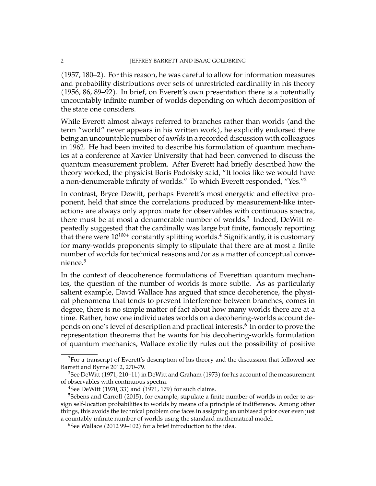(1957, 180–2). For this reason, he was careful to allow for information measures and probability distributions over sets of unrestricted cardinality in his theory (1956, 86, 89–92). In brief, on Everett's own presentation there is a potentially uncountably infinite number of worlds depending on which decomposition of the state one considers.

While Everett almost always referred to branches rather than worlds (and the term "world" never appears in his written work), he explicitly endorsed there being an uncountable number of *worlds*in a recorded discussion with colleagues in 1962. He had been invited to describe his formulation of quantum mechanics at a conference at Xavier University that had been convened to discuss the quantum measurement problem. After Everett had briefly described how the theory worked, the physicist Boris Podolsky said, "It looks like we would have a non-denumerable infinity of worlds." To which Everett responded, "Yes."[2](#page-1-0)

In contrast, Bryce Dewitt, perhaps Everett's most energetic and effective proponent, held that since the correlations produced by measurement-like interactions are always only approximate for observables with continuous spectra, there must be at most a denumerable number of worlds. $3$  Indeed, DeWitt repeatedly suggested that the cardinally was large but finite, famously reporting that there were  $10^{100+}$  constantly splitting worlds.<sup>[4](#page-1-2)</sup> Significantly, it is customary for many-worlds proponents simply to stipulate that there are at most a finite number of worlds for technical reasons and/or as a matter of conceptual conve-nience.<sup>[5](#page-1-3)</sup>

In the context of deocoherence formulations of Everettian quantum mechanics, the question of the number of worlds is more subtle. As as particularly salient example, David Wallace has argued that since decoherence, the physical phenomena that tends to prevent interference between branches, comes in degree, there is no simple matter of fact about how many worlds there are at a time. Rather, how one individuates worlds on a decohering-worlds account de-pends on one's level of description and practical interests.<sup>[6](#page-1-4)</sup> In order to prove the representation theorems that he wants for his decohering-worlds formulation of quantum mechanics, Wallace explicitly rules out the possibility of positive

<span id="page-1-0"></span><sup>&</sup>lt;sup>2</sup>For a transcript of Everett's description of his theory and the discussion that followed see Barrett and Byrne 2012, 270–79.

<span id="page-1-1"></span> $3$ See DeWitt (1971, 210–11) in DeWitt and Graham (1973) for his account of the measurement of observables with continuous spectra.

<span id="page-1-3"></span><span id="page-1-2"></span><sup>4</sup>See DeWitt (1970, 33) and (1971, 179) for such claims.

 $5$ Sebens and Carroll (2015), for example, stipulate a finite number of worlds in order to assign self-location probabilities to worlds by means of a principle of indifference. Among other things, this avoids the technical problem one faces in assigning an unbiased prior over even just a countably infinite number of worlds using the standard mathematical model.

<span id="page-1-4"></span><sup>&</sup>lt;sup>6</sup>See Wallace (2012 99–102) for a brief introduction to the idea.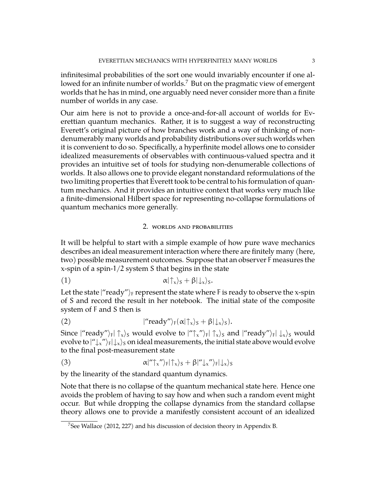infinitesimal probabilities of the sort one would invariably encounter if one allowed for an infinite number of worlds.[7](#page-2-0) But on the pragmatic view of emergent worlds that he has in mind, one arguably need never consider more than a finite number of worlds in any case.

Our aim here is not to provide a once-and-for-all account of worlds for Everettian quantum mechanics. Rather, it is to suggest a way of reconstructing Everett's original picture of how branches work and a way of thinking of nondenumerably many worlds and probability distributions over such worlds when it is convenient to do so. Specifically, a hyperfinite model allows one to consider idealized measurements of observables with continuous-valued spectra and it provides an intuitive set of tools for studying non-denumerable collections of worlds. It also allows one to provide elegant nonstandard reformulations of the two limiting properties that Everett took to be central to his formulation of quantum mechanics. And it provides an intuitive context that works very much like a finite-dimensional Hilbert space for representing no-collapse formulations of quantum mechanics more generally.

## 2. worlds and probabilities

It will be helpful to start with a simple example of how pure wave mechanics describes an ideal measurement interaction where there are finitely many (here, two) possible measurement outcomes. Suppose that an observer F measures the x-spin of a spin-1/2 system S that begins in the state

$$
\alpha|\uparrow_x\rangle_{S}+\beta|\downarrow_x\rangle_{S}.
$$

Let the state  $|''$  ready")<sub>F</sub> represent the state where F is ready to observe the x-spin of S and record the result in her notebook. The initial state of the composite system of F and S then is

(2) 
$$
|^{\prime\prime}\text{ready}^{\prime\prime}\rangle_{F}(\alpha|\uparrow_{x}\rangle_{S}+\beta|\downarrow_{x}\rangle_{S}).
$$

Since  $|''$ ready" $\rangle_F|\uparrow_x\rangle_S$  would evolve to  $|''\uparrow_x" \rangle_F|\uparrow_x\rangle_S$  and  $|''$ ready" $\rangle_F|\downarrow_x\rangle_S$  would evolve to  $|"\downarrow_x"$ <sub>F</sub> $|\downarrow_x\rangle$ <sub>S</sub> on ideal measurements, the initial state above would evolve to the final post-measurement state

(3) 
$$
\alpha |'' \uparrow_x " \rangle_F | \uparrow_x \rangle_S + \beta |'' \downarrow_x " \rangle_F | \downarrow_x \rangle_S
$$

by the linearity of the standard quantum dynamics.

Note that there is no collapse of the quantum mechanical state here. Hence one avoids the problem of having to say how and when such a random event might occur. But while dropping the collapse dynamics from the standard collapse theory allows one to provide a manifestly consistent account of an idealized

<span id="page-2-0"></span><sup>&</sup>lt;sup>7</sup>See Wallace (2012, 227) and his discussion of decision theory in Appendix B.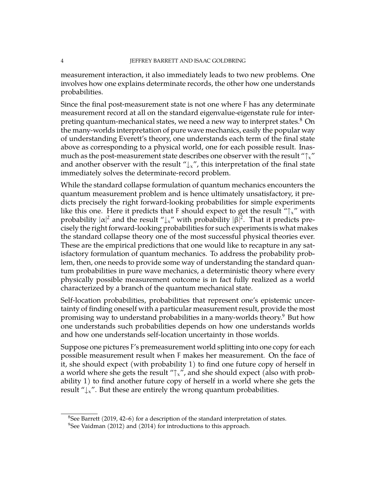measurement interaction, it also immediately leads to two new problems. One involves how one explains determinate records, the other how one understands probabilities.

Since the final post-measurement state is not one where F has any determinate measurement record at all on the standard eigenvalue-eigenstate rule for inter-preting quantum-mechanical states, we need a new way to interpret states.<sup>[8](#page-3-0)</sup> On the many-worlds interpretation of pure wave mechanics, easily the popular way of understanding Everett's theory, one understands each term of the final state above as corresponding to a physical world, one for each possible result. Inasmuch as the post-measurement state describes one observer with the result " $\uparrow x$ " and another observer with the result " $\downarrow$ <sub>x</sub>", this interpretation of the final state immediately solves the determinate-record problem.

While the standard collapse formulation of quantum mechanics encounters the quantum measurement problem and is hence ultimately unsatisfactory, it predicts precisely the right forward-looking probabilities for simple experiments like this one. Here it predicts that F should expect to get the result " $\uparrow x$ " with probability  $|\alpha|^2$  and the result " $\downarrow$ <sub>x</sub>" with probability  $|\beta|^2$ . That it predicts pre-<br>rejects the wight forward looking prehabilities for such awaring onto is what predicts cisely the right forward-looking probabilities for such experiments is what makes the standard collapse theory one of the most successful physical theories ever. These are the empirical predictions that one would like to recapture in any satisfactory formulation of quantum mechanics. To address the probability problem, then, one needs to provide some way of understanding the standard quantum probabilities in pure wave mechanics, a deterministic theory where every physically possible measurement outcome is in fact fully realized as a world characterized by a branch of the quantum mechanical state.

Self-location probabilities, probabilities that represent one's epistemic uncertainty of finding oneself with a particular measurement result, provide the most promising way to understand probabilities in a many-worlds theory.[9](#page-3-1) But how one understands such probabilities depends on how one understands worlds and how one understands self-location uncertainty in those worlds.

Suppose one pictures F's premeasurement world splitting into one copy for each possible measurement result when F makes her measurement. On the face of it, she should expect (with probability 1) to find one future copy of herself in a world where she gets the result " $\uparrow$ <sub>x</sub>", and she should expect (also with probability 1) to find another future copy of herself in a world where she gets the result " $\downarrow$ ". But these are entirely the wrong quantum probabilities.

<span id="page-3-0"></span><sup>&</sup>lt;sup>8</sup>See Barrett (2019, 42–6) for a description of the standard interpretation of states.

<span id="page-3-1"></span> $9$ See Vaidman (2012) and (2014) for introductions to this approach.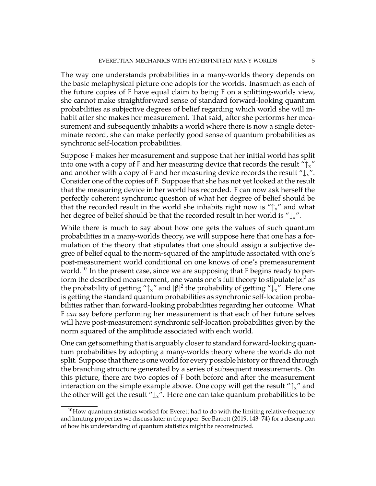The way one understands probabilities in a many-worlds theory depends on the basic metaphysical picture one adopts for the worlds. Inasmuch as each of the future copies of F have equal claim to being F on a splitting-worlds view, she cannot make straightforward sense of standard forward-looking quantum probabilities as subjective degrees of belief regarding which world she will inhabit after she makes her measurement. That said, after she performs her measurement and subsequently inhabits a world where there is now a single determinate record, she can make perfectly good sense of quantum probabilities as synchronic self-location probabilities.

Suppose F makes her measurement and suppose that her initial world has split into one with a copy of F and her measuring device that records the result " $\uparrow$ <sub>x</sub>" and another with a copy of F and her measuring device records the result " $\downarrow_x$ ". Consider one of the copies of F. Suppose that she has not yet looked at the result that the measuring device in her world has recorded. F can now ask herself the perfectly coherent synchronic question of what her degree of belief should be that the recorded result in the world she inhabits right now is " $\uparrow x$ " and what her degree of belief should be that the recorded result in her world is " $\downarrow$ ".

While there is much to say about how one gets the values of such quantum probabilities in a many-worlds theory, we will suppose here that one has a formulation of the theory that stipulates that one should assign a subjective degree of belief equal to the norm-squared of the amplitude associated with one's post-measurement world conditional on one knows of one's premeasurement world.<sup>[10](#page-4-0)</sup> In the present case, since we are supposing that  $F$  begins ready to perform the described measurement, one wants one's full theory to stipulate  $|\alpha|^2$  as the probability of getting " $\uparrow$ <sub>x</sub>" and  $\upbeta$ <sup>2</sup> the probability of getting " $\downarrow$ <sub>x</sub>". Here one is getting the standard quantum probabilities as synchronic self-location probabilities rather than forward-looking probabilities regarding her outcome. What F *can* say before performing her measurement is that each of her future selves will have post-measurement synchronic self-location probabilities given by the norm squared of the amplitude associated with each world.

One can get something that is arguably closer to standard forward-looking quantum probabilities by adopting a many-worlds theory where the worlds do not split. Suppose that there is one world for every possible history or thread through the branching structure generated by a series of subsequent measurements. On this picture, there are two copies of F both before and after the measurement interaction on the simple example above. One copy will get the result " $\uparrow$ " and the other will get the result " $\downarrow$ <sub>x</sub>". Here one can take quantum probabilities to be

<span id="page-4-0"></span> $10$ How quantum statistics worked for Everett had to do with the limiting relative-frequency and limiting properties we discuss later in the paper. See Barrett (2019, 143–74) for a description of how his understanding of quantum statistics might be reconstructed.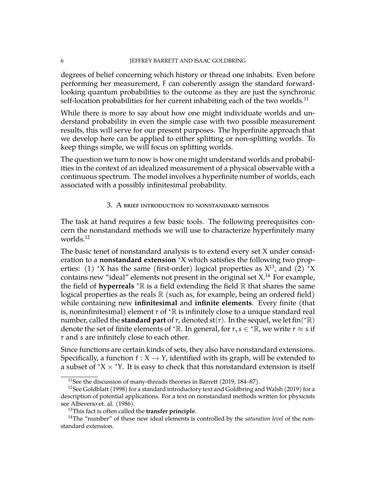### 6 JEFFREY BARRETT AND ISAAC GOLDBRING

degrees of belief concerning which history or thread one inhabits. Even before performing her measurement, F can coherently assign the standard forwardlooking quantum probabilities to the outcome as they are just the synchronic self-location probabilities for her current inhabiting each of the two worlds.<sup>[11](#page-5-0)</sup>

While there is more to say about how one might individuate worlds and understand probability in even the simple case with two possible measurement results, this will serve for our present purposes. The hyperfinite approach that we develop here can be applied to either splitting or non-splitting worlds. To keep things simple, we will focus on splitting worlds.

The question we turn to now is how one might understand worlds and probabilities in the context of an idealized measurement of a physical observable with a continuous spectrum. The model involves a hyperfinite number of worlds, each associated with a possibly infinitesimal probability.

## 3. A brief introduction to nonstandard methods

<span id="page-5-4"></span>The task at hand requires a few basic tools. The following prerequisites concern the nonstandard methods we will use to characterize hyperfinitely many worlds.[12](#page-5-1)

The basic tenet of nonstandard analysis is to extend every set X under consideration to a **nonstandard extension** <sup>∗</sup>X which satisfies the following two properties: (1) \*X has the same (first-order) logical properties as  $X^{13}$  $X^{13}$  $X^{13}$ , and (2) \*X contains new "ideal" elements not present in the original set X. $^{14}$  $^{14}$  $^{14}$  For example, the field of **hyperreals** <sup>∗</sup>R is a field extending the field R that shares the same logical properties as the reals  $\mathbb R$  (such as, for example, being an ordered field) while containing new **infinitesimal** and **infinite elements**. Every finite (that is, noninfinitesimal) element  $r$  of  $* \mathbb{R}$  is infinitely close to a unique standard real number, called the **standard part** of r, denoted st(r). In the sequel, we let fin(\*ℝ) denote the set of finite elements of  ${}^*\mathbb{R}.$  In general, for  $r,s\in {}^*\!\bar{\mathbb{R}}.$  we write  $r\approx s$  if r and s are infinitely close to each other.

Since functions are certain kinds of sets, they also have nonstandard extensions. Specifically, a function  $f: X \to Y$ , identified with its graph, will be extended to a subset of  $X \times Y$ . It is easy to check that this nonstandard extension is itself

<span id="page-5-1"></span><span id="page-5-0"></span><sup>11</sup>See the discussion of many-threads theories in Barrett (2019, 184–87).

<sup>&</sup>lt;sup>12</sup>See Goldblatt (1998) for a standard introductory text and Goldbring and Walsh (2019) for a description of potential applications. For a text on nonstandard methods written for physicists see Albeverio et. al. (1986).

<span id="page-5-3"></span><span id="page-5-2"></span><sup>13</sup>This fact is often called the **transfer principle**.

<sup>14</sup>The "number" of these new ideal elements is controlled by the *saturation level* of the nonstandard extension.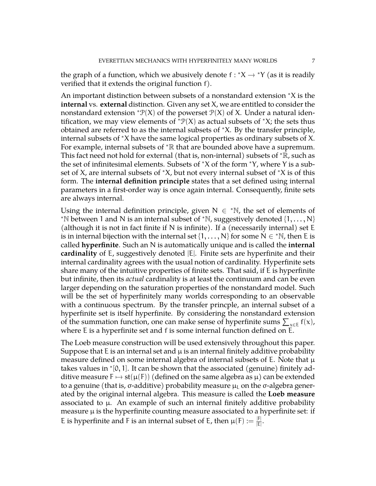the graph of a function, which we abusively denote  $f : X \to Y$  (as it is readily worified that it ovtands the original function  $f$ ) verified that it extends the original function f).

An important distinction between subsets of a nonstandard extension <sup>∗</sup>X is the **internal** vs. **external** distinction. Given any set X, we are entitled to consider the nonstandard extension  $\mathcal{P}(X)$  of the powerset  $\mathcal{P}(X)$  of X. Under a natural identification, we may view elements of  ${}^*\mathcal{P}(X)$  as actual subsets of  ${}^*\mathcal{X}$ ; the sets thus obtained are referred to as the internal subsets of <sup>∗</sup>X. By the transfer principle, internal subsets of <sup>∗</sup>X have the same logical properties as ordinary subsets of X. For example, internal subsets of <sup>∗</sup>R that are bounded above have a supremum. This fact need not hold for external (that is, non-internal) subsets of  ${}^*$ R, such as the set of infinitesimal elements. Subsets of <sup>∗</sup>X of the form <sup>∗</sup>Y, where Y is a subset of X, are internal subsets of  $*X$ , but not every internal subset of  $*X$  is of this form. The **internal definition principle** states that a set defined using internal parameters in a first-order way is once again internal. Consequently, finite sets are always internal.

Using the internal definition principle, given  $N \in \mathbb{N}$ , the set of elements of \*N between 1 and N is an internal subset of \*N, suggestively denoted  $\{1,\ldots,N\}$ (although it is not in fact finite if N is infinite). If a (necessarily internal) set  $E$ is in internal bijection with the internal set  $\{1,\ldots,N\}$  for some  $\dot{\mathsf{N}}\in {}^*\mathbb{N}$ , then E is called **hyperfinite**. Such an N is automatically unique and is called the **internal cardinality** of E, suggestively denoted |E|. Finite sets are hyperfinite and their internal cardinality agrees with the usual notion of cardinality. Hyperfinite sets share many of the intuitive properties of finite sets. That said, if E is hyperfinite but infinite, then its *actual* cardinality is at least the continuum and can be even larger depending on the saturation properties of the nonstandard model. Such will be the set of hyperfinitely many worlds corresponding to an observable with a continuous spectrum. By the transfer princple, an internal subset of a hyperfinite set is itself hyperfinite. By considering the nonstandard extension of the summation function, one can make sense of hyperfinite sums  $\sum_{x \in E} f(x)$ , where E is a hyperfinite set and f is some internal function defined on E.

The Loeb measure construction will be used extensively throughout this paper. Suppose that E is an internal set and  $\mu$  is an internal finitely additive probability measure defined on some internal algebra of internal subsets of E. Note that  $\mu$ takes values in <sup>∗</sup> [0, 1]. It can be shown that the associated (genuine) finitely additive measure  $F \mapsto st(\mu(F))$  (defined on the same algebra as  $\mu$ ) can be extended to a genuine (that is,  $\sigma$ -additive) probability measure  $\mu$ <sub>L</sub> on the  $\sigma$ -algebra generated by the original internal algebra. This measure is called the **Loeb measure** associated to  $\mu$ . An example of such an internal finitely additive probability measure  $\mu$  is the hyperfinite counting measure associated to a hyperfinite set: if E is hyperfinite and F is an internal subset of E, then  $\mu(F) := \frac{|F|}{|E|}$ .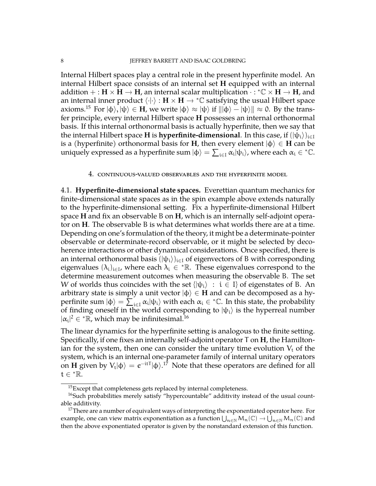Internal Hilbert spaces play a central role in the present hyperfinite model. An internal Hilbert space consists of an internal set **H** equipped with an internal addition + :  $\mathbf{H} \times \mathbf{H} \to \mathbf{H}$ , an internal scalar multiplication  $\cdot : {^*\mathbb{C}} \times \mathbf{H} \to \mathbf{H}$ , and an internal inner product  $\langle \cdot | \cdot \rangle : H \times H \to \text{K}$  satisfying the usual Hilbert space axioms.<sup>[15](#page-7-0)</sup> For  $|\phi\rangle, |\psi\rangle \in H$ , we write  $|\phi\rangle \approx |\psi\rangle$  if  $\|\phi\rangle - |\psi\rangle\| \approx 0$ . By the transfer principle, every internal Hilbert space **H** possesses an internal orthonormal basis. If this internal orthonormal basis is actually hyperfinite, then we say that the internal Hilbert space **H** is **hyperfinite-dimensional**. In this case, if  $(|\psi_i\rangle)_{i\in I}$ is a (hyperfinite) orthonormal basis for **H**, then every element  $|\phi\rangle \in$  **H** can be uniquely expressed as a hyperfinite sum  $|\phi\rangle = \sum_{i\in I}\alpha_i|\psi_i\rangle$ , where each  $\alpha_i\in {}^*\mathbb C.$ 

#### 4. continuous-valued observables and the hyperfinite model

4.1. **Hyperfinite-dimensional state spaces.** Everettian quantum mechanics for finite-dimensional state spaces as in the spin example above extends naturally to the hyperfinite-dimensional setting. Fix a hyperfinite-dimensional Hilbert space **H** and fix an observable B on **H**, which is an internally self-adjoint operator on **H**. The observable B is what determines what worlds there are at a time. Depending on one's formulation of the theory, it might be a determinate-pointer observable or determinate-record observable, or it might be selected by decoherence interactions or other dynamical considerations. Once specified, there is an internal orthonormal basis  $(|\psi_i\rangle)_{i\in I}$  of eigenvectors of B with corresponding eigenvalues  $(\lambda_i)_{i \in I}$ , where each  $\lambda_i \in {^*}\mathbb{R}$ . These eigenvalues correspond to the determine measurement outcomes when measuring the observable B. The set W of worlds thus coincides with the set  $\{|\psi_i\rangle : i \in I\}$  of eigenstates of B. An arbitrary state is simply a unit vector  $|\phi\rangle \in H$  and can be decomposed as a hyperfinite sum  $|\phi\rangle = \sum_{i\in I} \alpha_i |\psi_i\rangle$  with each  $\alpha_i \in {}^*\mathbb{C}$ . In this state, the probability of finding oneself in the world corresponding to  $|\psi_i\rangle$  is the hyperreal number  $|\alpha_i|^2 \in \mathbb{R}$ , which may be infinitesimal.<sup>[16](#page-7-1)</sup>

The linear dynamics for the hyperfinite setting is analogous to the finite setting. Specifically, if one fixes an internally self-adjoint operator T on **H**, the Hamiltonian for the system, then one can consider the unitary time evolution  $V_t$  of the system, which is an internal one-parameter family of internal unitary operators on **H** given by  $V_t |\phi\rangle = e^{-itT} |\phi\rangle$ .<sup>[17](#page-7-2)</sup> Note that these operators are defined for all  $t \in {}^* \mathbb{R}$ .

<span id="page-7-1"></span><span id="page-7-0"></span> $15$ Except that completeness gets replaced by internal completeness.

 $16$ Such probabilities merely satisfy "hypercountable" additivity instead of the usual countable additivity.

<span id="page-7-2"></span> $17$ There are a number of equivalent ways of interpreting the exponentiated operator here. For example, one can view matrix exponentiation as a function  $\bigcup_{n\in\mathbb{N}}M_n(\mathbb{C})\to\bigcup_{n\in\mathbb{N}}M_n(\mathbb{C})$  and then the above exponentiated operator is given by the nonstandard extension of this function.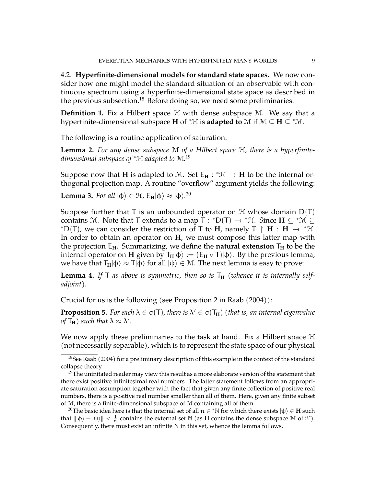4.2. **Hyperfinite-dimensional models for standard state spaces.** We now consider how one might model the standard situation of an observable with continuous spectrum using a hyperfinite-dimensional state space as described in the previous subsection.<sup>[18](#page-8-0)</sup> Before doing so, we need some preliminaries.

**Definition 1.** Fix a Hilbert space  $H$  with dense subspace M. We say that a hyperfinite-dimensional subspace **H** of  ${}^*{\mathcal{H}}$  is **adapted to** M if  $M \subseteq H \subseteq {}^*M$ .

The following is a routine application of saturation:

**Lemma 2.** *For any dense subspace* M *of a Hilbert space* H*, there is a hyperfinitedimensional subspace of* <sup>∗</sup>H *adapted to* M*.* [19](#page-8-1)

Suppose now that **H** is adapted to M. Set  $E_H : {^*}\mathcal{H} \to H$  to be the internal or-<br>these and prejection map  $\Lambda$  require "example w" argument violds the followings thogonal projection map. A routine "overflow" argument yields the following:

**Lemma 3.** *For all*  $|\phi\rangle \in \mathcal{H}$ ,  $E_H|\phi\rangle \approx |\phi\rangle^{20}$  $E_H|\phi\rangle \approx |\phi\rangle^{20}$  $E_H|\phi\rangle \approx |\phi\rangle^{20}$ 

Suppose further that  $T$  is an unbounded operator on  $H$  whose domain  $D(T)$ contains M. Note that T extends to a map  $\overline{T}$  :  $*D(T) \rightarrow *H$ . Since  $H \subseteq *M \subseteq$ <br>\*D(T) are seen sensitive the graphicitien of T to H gamely T  $\uparrow H \downarrow H \downarrow W$ \*D(T), we can consider the restriction of T to **H**, namely  $T \upharpoonright H : H \rightarrow {}^* \mathcal{H}$ . In order to obtain an operator on **H**, we must compose this latter map with the projection  $E_H$ . Summarizing, we define the **natural extension**  $T_H$  to be the internal operator on **H** given by  $T_H|\varphi\rangle := (E_H \circ T)|\varphi\rangle$ . By the previous lemma, we have that  $T_H|\phi\rangle \approx T|\phi\rangle$  for all  $|\phi\rangle \in \mathcal{M}$ . The next lemma is easy to prove:

**Lemma 4.** If T as above is symmetric, then so is  $T_H$  (whence it is internally self*adjoint).*

Crucial for us is the following (see Proposition 2 in Raab (2004)):

<span id="page-8-3"></span>**Proposition 5.** For each  $\lambda \in \sigma(T)$ , there is  $\lambda' \in \sigma(T_H)$  (that is, an internal eigenvalue *of*  $\mathsf{T}_{\mathbf{H}}$ *)* such that  $\lambda \approx \lambda'$ .

We now apply these preliminaries to the task at hand. Fix a Hilbert space  $H$ (not necessarily separable), which is to represent the state space of our physical

<span id="page-8-2"></span><sup>20</sup>The basic idea here is that the internal set of all  $n \in {}^* \mathbb{N}$  for which there exists  $|\psi\rangle \in H$  such that  $\|\ket{\varphi} - \ket{\psi}\| < \frac{1}{n}$  contains the external set N (as **H** contains the dense subspace M of H). Consequently, there must exist an infinite N in this set, whence the lemma follows.

<span id="page-8-0"></span><sup>&</sup>lt;sup>18</sup>See Raab (2004) for a preliminary description of this example in the context of the standard collapse theory.

<span id="page-8-1"></span> $19$ The uninitated reader may view this result as a more elaborate version of the statement that there exist positive infinitesimal real numbers. The latter statement follows from an appropriate saturation assumption together with the fact that given any finite collection of positive real numbers, there is a positive real number smaller than all of them. Here, given any finite subset of M, there is a finite-dimensional subspace of M containing all of them.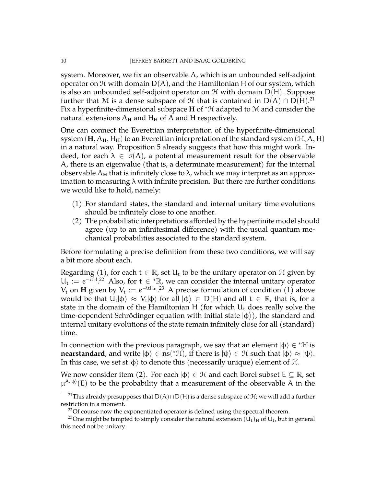system. Moreover, we fix an observable A, which is an unbounded self-adjoint operator on  $H$  with domain  $D(A)$ , and the Hamiltonian H of our system, which is also an unbounded self-adjoint operator on  $\mathcal H$  with domain  $D(H)$ . Suppose further that M is a dense subspace of H that is contained in  $D(A) \cap D(H).^{21}$  $D(A) \cap D(H).^{21}$  $D(A) \cap D(H).^{21}$ Fix a hyperfinite-dimensional subspace **H** of <sup>∗</sup>H adapted to M and consider the natural extensions  $A_H$  and  $H_H$  of A and H respectively.

One can connect the Everettian interpretation of the hyperfinite-dimensional system  $(H, A_H, H_H)$  to an Everettian interpretation of the standard system  $(\mathcal{H}, A, H)$ in a natural way. Proposition [5](#page-8-3) already suggests that how this might work. Indeed, for each  $\lambda \in \sigma(A)$ , a potential measurement result for the observable A, there is an eigenvalue (that is, a determinate measurement) for the internal observable  $A_H$  that is infinitely close to  $\lambda$ , which we may interpret as an approximation to measuring  $\lambda$  with infinite precision. But there are further conditions we would like to hold, namely:

- (1) For standard states, the standard and internal unitary time evolutions should be infinitely close to one another.
- (2) The probabilistic interpretations afforded by the hyperfinite model should agree (up to an infinitesimal difference) with the usual quantum mechanical probabilities associated to the standard system.

Before formulating a precise definition from these two conditions, we will say a bit more about each.

Regarding (1), for each  $t \in \mathbb{R}$ , set  $U_t$  to be the unitary operator on  $\mathcal H$  given by  $U_t := e^{-itH}$ . [22](#page-9-1) Also, for  $t \in {}^{\ast} \mathbb{R}$ , we can consider the internal unitary operator  $V_t$  on **H** given by  $V_t := e^{-itH_H}$ .<sup>[23](#page-9-2)</sup> A precise formulation of condition (1) above would be that  $\hat{U}_t|\varphi\rangle \approx V_t|\varphi\rangle$  for all  $|\varphi\rangle \in D(H)$  and all  $t \in \mathbb{R}$ , that is, for a state in the domain of the Hamiltonian H (for which  $U_t$  does really solve the time-dependent Schrödinger equation with initial state  $|\phi\rangle$ ), the standard and internal unitary evolutions of the state remain infinitely close for all (standard) time.

In connection with the previous paragraph, we say that an element  $|\phi\rangle \in {}^*\mathcal{H}$  is **nearstandard**, and write  $|\phi\rangle \in \text{ns}(*\mathcal{H})$ , if there is  $|\psi\rangle \in \mathcal{H}$  such that  $|\phi\rangle \approx |\psi\rangle$ . In this case, we set st  $|\phi\rangle$  to denote this (necessarily unique) element of H.

We now consider item (2). For each  $|\phi\rangle \in \mathcal{H}$  and each Borel subset  $E \subseteq \mathbb{R}$ , set  $\mu^{A,|\varphi\rangle}(E)$  to be the probability that a measurement of the observable A in the

<span id="page-9-0"></span><sup>&</sup>lt;sup>21</sup>This already presupposes that  $D(A) \cap D(H)$  is a dense subspace of  $H$ ; we will add a further restriction in a moment.

<span id="page-9-2"></span><span id="page-9-1"></span> $22$ Of course now the exponentiated operator is defined using the spectral theorem.

<sup>&</sup>lt;sup>23</sup>One might be tempted to simply consider the natural extension  $(U_t)_H$  of  $U_t$ , but in general this need not be unitary.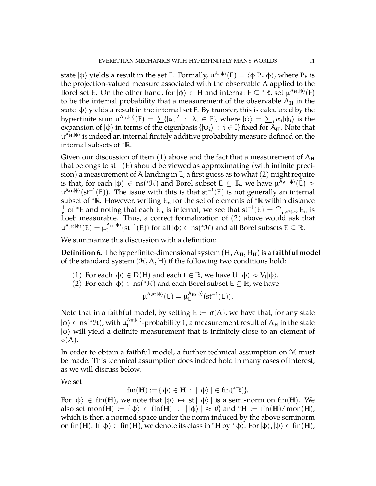state  $|\phi\rangle$  yields a result in the set E. Formally,  $\mu^{A,|\varphi\rangle}(E)=\langle\varphi|P_E|\varphi\rangle$ , where  $P_E$  is the projection-valued measure associated with the observable A applied to the Borel set E. On the other hand, for  $|\phi\rangle \in H$  and internal  $F \subseteq {}^{\ast} \mathbb{R}$ , set  $\mu^{A_H,|\phi\rangle}(F)$ to be the internal probability that a measurement of the observable  $A_H$  in the state  $|\phi\rangle$  yields a result in the internal set F. By transfer, this is calculated by the hyperfinite sum  $\mu^{A_H,|\varphi\rangle}(F) = \sum \{|\alpha_i|^2 \; : \; \lambda_i \in F\}$ , where  $|\varphi\rangle = \sum_i \alpha_i |\psi_i\rangle$  is the expansion of  $|\phi\rangle$  in terms of the eigenbasis  $\{|\psi_i\rangle : i \in I\}$  fixed for  $A_H$ . Note that  $\mu^{\rm A_{\rm H},|\varphi\rangle}$  is indeed an internal finitely additive probability measure defined on the internal subsets of <sup>∗</sup>R.

Given our discussion of item  $(1)$  above and the fact that a measurement of  $A_H$ that belongs to st<sup>−</sup><sup>1</sup> (E) should be viewed as approximating (with infinite precision) a measurement of A landing in E, a first guess as to what (2) might require is that, for each  $|\phi\rangle \in \text{ns}(*\mathcal{H})$  and Borel subset  $\text{E}\subseteq \mathbb{R}$ , we have  $\mu^{\overline{A},\text{st}|\phi\rangle}(\overline{\text{E}})\approx$  $\mu^{A_H,|\varphi\rangle}(st^{-1}(E)).$  The issue with this is that st<sup>-1</sup>(E) is not generally an internal subset of \* $\mathbb R$ . However, writing  $E_n$  for the set of elements of \* $\mathbb R$  within distance 1  $\frac{1}{n}$  of \*E and noting that each E<sub>n</sub> is internal, we see that st<sup>-1</sup>(E) =  $\bigcap_{n\in\mathbb{N}^{>0}}$  E<sub>n</sub> is Loeb measurable. Thus, a correct formalization of (2) above would ask that  $\mu^{A,\text{st}|\varphi\rangle}(\mathsf{E}) = \mu_{\mathsf{I}}^{A_{\mathsf{H}},|\varphi\rangle}$  $\mathbb{A}_{\mathrm{H}}^{A_{\mathrm{H}},|\varphi\rangle}(\mathrm{st}^{-1}(\mathsf{E}))$  for all  $|\varphi\rangle\in\mathrm{ns}(\mathbf{H})$  and all Borel subsets  $\mathsf{E}\subseteq\mathbb{R}.$ 

We summarize this discussion with a definition:

**Definition 6.** The hyperfinite-dimensional system  $(H, A_H, H_H)$  is a **faithful model** of the standard system  $(H, A, H)$  if the following two conditions hold:

- (1) For each  $|\phi\rangle \in D(H)$  and each  $t \in \mathbb{R}$ , we have  $U_t |\phi\rangle \approx V_t |\phi\rangle$ .
- (2) For each  $|\phi\rangle \in \text{ns}(*\mathcal{H})$  and each Borel subset  $E \subseteq \mathbb{R}$ , we have

$$
\mu^{A,st\,|\varphi\rangle}(E)=\mu_L^{A_H,|\varphi\rangle}(st^{-1}(E)).
$$

Note that in a faithful model, by setting  $E := \sigma(A)$ , we have that, for any state  $|\varphi\rangle \in$  ns(\*H), with  $\mu_L^{A_\mathrm{H},|\varphi\rangle}$  $L^{\rm (H_1, \vert \Phi)}$ -probability 1, a measurement result of  ${\rm A_H}$  in the state  $|\phi\rangle$  will yield a definite measurement that is infinitely close to an element of  $\sigma(A)$ .

In order to obtain a faithful model, a further technical assumption on M must be made. This technical assumption does indeed hold in many cases of interest, as we will discuss below.

We set

$$
fin(\mathbf{H}):=\{|\varphi\rangle\in\mathbf{H}\;:\;\||\varphi\rangle\|\in fin({}^*\mathbb{R})\}.
$$

For  $|\phi\rangle \in \text{fin}(\mathbf{H})$ , we note that  $|\phi\rangle \mapsto$  st  $\|\phi\rangle\|$  is a semi-norm on fin(**H**). We also set mon(**H**) := { $|\phi\rangle \in \text{fin}(\mathbf{H})$  :  $||\phi\rangle|| \approx 0$ } and  $\text{°H}$  := fin(**H**)/ mon(**H**), which is then a normed space under the norm induced by the above seminorm on fin( $H$ ). If  $|\varphi\rangle\in \operatorname{fin}(H)$ , we denote its class in  ${}^{\circ}\mathrm{H}$  by  ${}^{\circ}|\varphi\rangle.$  For  $|\varphi\rangle, |\psi\rangle\in \operatorname{fin}(H)$ ,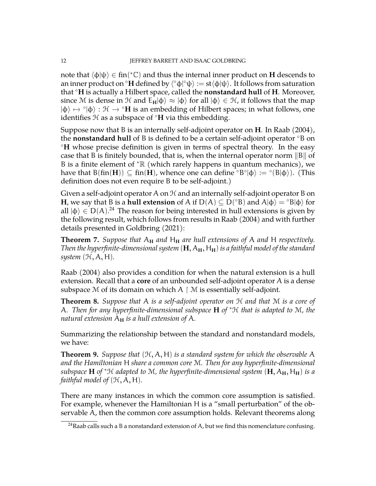note that  $\langle \varphi | \psi \rangle \in \operatorname{fin}({}^*\mathbb{C})$  and thus the internal inner product on **H** descends to an inner product on  $^\circ {\bf H}$  defined by  $\langle ^\circ \varphi |^\circ \psi \rangle := {\rm st}\langle \varphi | \psi \rangle.$  It follows from saturation that ◦**H** is actually a Hilbert space, called the **nonstandard hull** of **H**. Moreover, since M is dense in H and  $E_H|\varphi\rangle \approx |\varphi\rangle$  for all  $|\varphi\rangle \in \mathcal{H}$ , it follows that the map  $|\phi\rangle \mapsto \hat{\phi}|\phi\rangle$ :  $\mathcal{H} \to \hat{\phi}$ **H** is an embedding of Hilbert spaces; in what follows, one identifies H as a subspace of ◦**H** via this embedding.

Suppose now that B is an internally self-adjoint operator on **H**. In Raab (2004), the **nonstandard hull** of B is defined to be a certain self-adjoint operator ◦B on ◦**H** whose precise definition is given in terms of spectral theory. In the easy case that B is finitely bounded, that is, when the internal operator norm  $\|B\|$  of B is a finite element of  $* \mathbb{R}$  (which rarely happens in quantum mechanics), we have that  $B(fin(H)) \subseteq fin(H)$ , whence one can define  $\supseteq B \circ |\varphi\rangle := \supseteq (B|\varphi\rangle)$ . (This definition does not even require B to be self-adjoint.)

Given a self-adjoint operator A on  $H$  and an internally self-adjoint operator B on **H**, we say that B is a **hull extension** of A if  $D(A) \subseteq D({^\circ B})$  and  $A|\varphi\rangle = {^\circ B}|\varphi\rangle$  for all  $|\phi\rangle \in D(A).^{24}$  $|\phi\rangle \in D(A).^{24}$  $|\phi\rangle \in D(A).^{24}$  The reason for being interested in hull extensions is given by the following result, which follows from results in Raab (2004) and with further details presented in Goldbring (2021):

**Theorem 7.** *Suppose that*  $A_H$  *and*  $H_H$  *are hull extensions of* A *and* H *respectively. Then the hyperfinite-dimensional system*  $(H, A_H, H_H)$  *is a faithful model of the standard system* (H, A, H)*.*

Raab (2004) also provides a condition for when the natural extension is a hull extension. Recall that a **core** of an unbounded self-adjoint operator A is a dense subspace M of its domain on which  $A \upharpoonright M$  is essentially self-adjoint.

**Theorem 8.** *Suppose that* A *is a self-adjoint operator on* H *and that* M *is a core of* A*. Then for any hyperfinite-dimensional subspace* **H** *of* <sup>∗</sup>H *that is adapted to* M*, the natural extension*  $A_H$  *is a hull extension of*  $A$ *.* 

Summarizing the relationship between the standard and nonstandard models, we have:

**Theorem 9.** *Suppose that*  $(H, A, H)$  *is a standard system for which the observable* A *and the Hamiltonian* H *share a common core* M*. Then for any hyperfinite-dimensional subspace* **H** *of*  $*$ H *adapted to* M, the hyperfinite-dimensional system  $(H, A_H, H_H)$  is a *faithful model of*  $(H, A, H)$ *.* 

There are many instances in which the common core assumption is satisfied. For example, whenever the Hamiltonian H is a "small perturbation" of the observable A, then the common core assumption holds. Relevant theorems along

<span id="page-11-0"></span><sup>&</sup>lt;sup>24</sup>Raab calls such a B a nonstandard extension of A, but we find this nomenclature confusing.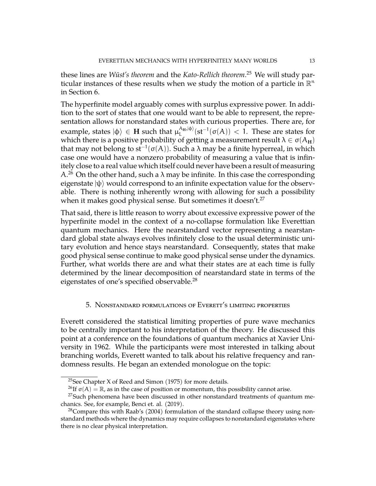these lines are *Wüst's theorem* and the *Kato-Rellich theorem*. [25](#page-12-0) We will study particular instances of these results when we study the motion of a particle in  $\mathbb{R}^n$ in Section [6.](#page-16-0)

The hyperfinite model arguably comes with surplus expressive power. In addition to the sort of states that one would want to be able to represent, the representation allows for nonstandard states with curious properties. There are, for example, states  $|\phi\rangle \in$  **H** such that  $\mu_{\text{L}}^{\text{A}_{\text{H}},|\phi\rangle}$  $L^{\rm A_{\rm H},|\varphi\rangle}(\rm st^{-1}(\sigma(A)) < 1.$  These are states for which there is a positive probability of getting a measurement result  $\lambda \in \sigma(A_H)$ that may not belong to st $^{-1}(\sigma(\mathcal{A}))$ . Such a λ may be a finite hyperreal, in which case one would have a nonzero probability of measuring a value that is infinitely close to a real value which itself could never have been a result of measuring A.<sup>[26](#page-12-1)</sup> On the other hand, such a  $\lambda$  may be infinite. In this case the corresponding eigenstate  $|\psi\rangle$  would correspond to an infinite expectation value for the observable. There is nothing inherently wrong with allowing for such a possibility when it makes good physical sense. But sometimes it doesn't.<sup>[27](#page-12-2)</sup>

That said, there is little reason to worry about excessive expressive power of the hyperfinite model in the context of a no-collapse formulation like Everettian quantum mechanics. Here the nearstandard vector representing a nearstandard global state always evolves infinitely close to the usual deterministic unitary evolution and hence stays nearstandard. Consequently, states that make good physical sense continue to make good physical sense under the dynamics. Further, what worlds there are and what their states are at each time is fully determined by the linear decomposition of nearstandard state in terms of the eigenstates of one's specified observable.<sup>[28](#page-12-3)</sup>

### 5. Nonstandard formulations of Everett's limiting properties

Everett considered the statistical limiting properties of pure wave mechanics to be centrally important to his interpretation of the theory. He discussed this point at a conference on the foundations of quantum mechanics at Xavier University in 1962. While the participants were most interested in talking about branching worlds, Everett wanted to talk about his relative frequency and randomness results. He began an extended monologue on the topic:

<span id="page-12-0"></span><sup>&</sup>lt;sup>25</sup>See Chapter X of Reed and Simon  $(1975)$  for more details.

<span id="page-12-2"></span><span id="page-12-1"></span><sup>&</sup>lt;sup>26</sup>If  $\sigma(A) = \mathbb{R}$ , as in the case of position or momentum, this possibility cannot arise.

 $27$ Such phenomena have been discussed in other nonstandard treatments of quantum mechanics. See, for example, Benci et. al. (2019).

<span id="page-12-3"></span> $28$ Compare this with Raab's (2004) formulation of the standard collapse theory using nonstandard methods where the dynamics may require collapses to nonstandard eigenstates where there is no clear physical interpretation.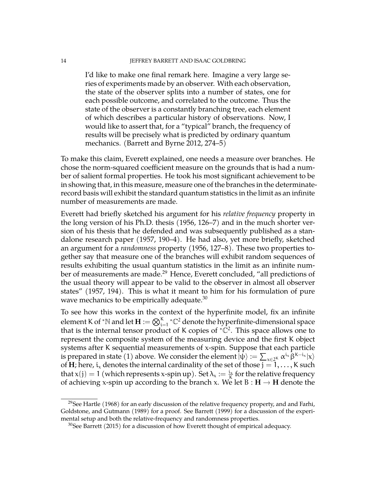#### 14 JEFFREY BARRETT AND ISAAC GOLDBRING

I'd like to make one final remark here. Imagine a very large series of experiments made by an observer. With each observation, the state of the observer splits into a number of states, one for each possible outcome, and correlated to the outcome. Thus the state of the observer is a constantly branching tree, each element of which describes a particular history of observations. Now, I would like to assert that, for a "typical" branch, the frequency of results will be precisely what is predicted by ordinary quantum mechanics. (Barrett and Byrne 2012, 274–5)

To make this claim, Everett explained, one needs a measure over branches. He chose the norm-squared coefficient measure on the grounds that is had a number of salient formal properties. He took his most significant achievement to be in showing that, in this measure, measure one of the branches in the determinaterecord basis will exhibit the standard quantum statistics in the limit as an infinite number of measurements are made.

Everett had briefly sketched his argument for his *relative frequency* property in the long version of his Ph.D. thesis (1956, 126–7) and in the much shorter version of his thesis that he defended and was subsequently published as a standalone research paper (1957, 190–4). He had also, yet more briefly, sketched an argument for a *randomness* property (1956, 127–8). These two properties together say that measure one of the branches will exhibit random sequences of results exhibiting the usual quantum statistics in the limit as an infinite num-ber of measurements are made.<sup>[29](#page-13-0)</sup> Hence, Everett concluded, "all predictions of the usual theory will appear to be valid to the observer in almost all observer states" (1957, 194). This is what it meant to him for his formulation of pure wave mechanics to be empirically adequate. $30$ 

To see how this works in the context of the hyperfinite model, fix an infinite element K of \*N and let  $\mathbf{H}:=\bigotimes_{i=1}^K\text{ }^*\mathbb{C}^2$  denote the hyperfinite-dimensional space that is the internal tensor product of K copies of  ${}^*\hat{\mathbb{C}}^2$ . This space allows one to represent the composite system of the measuring device and the first K object systems after K sequential measurements of x-spin. Suppose that each particle is prepared in state (1) above. We consider the element  $\ket{\psi} := \sum_{x \in 2^K} \alpha^{i_x} \hat{\beta}^{K-i_x} |x\rangle$ of **H**; here,  $i_x$  denotes the internal cardinality of the set of those  $j = 1, ..., K$  such that  $x(j) = 1$  (which represents x-spin up). Set  $\lambda_x := \frac{i_x}{K}$  for the relative frequency of achieving x-spin up according to the branch x. We let  $B : H \to H$  denote the

<span id="page-13-0"></span><sup>&</sup>lt;sup>29</sup>See Hartle (1968) for an early discussion of the relative frequency property, and and Farhi, Goldstone, and Gutmann (1989) for a proof. See Barrett (1999) for a discussion of the experimental setup and both the relative-frequency and randomness properties.

<span id="page-13-1"></span> $30$ See Barrett (2015) for a discussion of how Everett thought of empirical adequacy.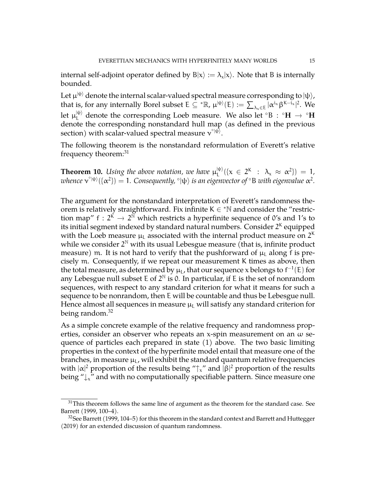internal self-adjoint operator defined by  $B|x\rangle := \lambda_x|x\rangle$ . Note that B is internally bounded.

Let  $\mu^{|\psi\rangle}$  denote the internal scalar-valued spectral measure corresponding to  $|\psi\rangle$ , that is, for any internally Borel subset  $E \subseteq {}^* \mathbb{R}$ ,  $\mu^{|\psi\rangle}(E) := \sum_{\lambda_x \in E} |\alpha^{i_x} \beta^{K - i_x}|^2$ . We let  $\mu_L^{|\psi\rangle}$  denote the corresponding Loeb measure. We also let °B : °**H**  $\rightarrow$  °**H**<br>denote the corresponding nonstandard hall map (so defined in the maximum denote the corresponding nonstandard hull map (as defined in the previous section) with scalar-valued spectral measure  $v^{\circ | \psi \rangle}$ .

The following theorem is the nonstandard reformulation of Everett's relative frequency theorem:<sup>[31](#page-14-0)</sup>

**Theorem 10.** Using the above notation, we have  $\mu_L^{|\psi\rangle}$  $\lambda_L^{|\psi\rangle}(\{x \in 2^K : \lambda_x \approx \alpha^2\}) = 1,$  $\omega$ hence  $\mathsf{v}^{\circ|\psi\rangle}(\{\alpha^2\})=1.$  Consequently,  $^{\circ}|\psi\rangle$  is an eigenvector of  $^{\circ}$ B with eigenvalue  $\alpha^2.$ 

The argument for the nonstandard interpretation of Everett's randomness theorem is relatively straightforward. Fix infinite  $K \in \mathbb{N}$  and consider the "restriction map"  $f : 2^{\tilde{K}} \to 2^{\tilde{N}}$  which restricts a hyperfinite sequence of 0's and 1's to its initial segment indexed by standard natural numbers. Consider  $2^{\mathsf{K}}$  equipped with the Loeb measure  $\mu_\mathsf{L}$  associated with the internal product measure on  $2^\mathsf{K}$ while we consider  $2^{\mathbb{N}}$  with its usual Lebesgue measure (that is, infinite product measure) m. It is not hard to verify that the pushforward of  $\mu$ <sub>L</sub> along f is precisely m. Consequently, if we repeat our measurement K times as above, then the total measure, as determined by  $\mu_{\mathsf{L}}$ , that our sequence x belongs to  $\mathsf{f}^{-1}(\mathsf{E})$  for any Lebesgue null subset E of  $2^{\mathbb{N}}$  is 0. In particular, if E is the set of nonrandom sequences, with respect to any standard criterion for what it means for such a sequence to be nonrandom, then E will be countable and thus be Lebesgue null. Hence almost all sequences in measure  $\mu_L$  will satisfy any standard criterion for being random.<sup>[32](#page-14-1)</sup>

As a simple concrete example of the relative frequency and randomness properties, consider an observer who repeats an x-spin measurement on an  $\omega$  sequence of particles each prepared in state (1) above. The two basic limiting properties in the context of the hyperfinite model entail that measure one of the branches, in measure  $\mu_L$ , will exhibit the standard quantum relative frequencies with  $|\alpha|^2$  proportion of the results being " $\uparrow$ <sub>x</sub>" and  $|\beta|^2$  proportion of the results being "↓<sup>x</sup>" and with no computationally specifiable pattern. Since measure one

<span id="page-14-0"></span> $31$ This theorem follows the same line of argument as the theorem for the standard case. See Barrett (1999, 100–4).

<span id="page-14-1"></span> $32$ See Barrett (1999, 104–5) for this theorem in the standard context and Barrett and Huttegger (2019) for an extended discussion of quantum randomness.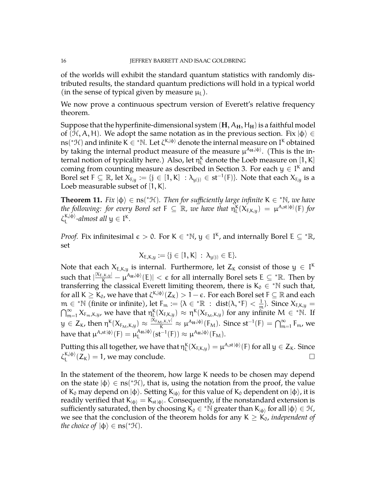of the worlds will exhibit the standard quantum statistics with randomly distributed results, the standard quantum predictions will hold in a typical world (in the sense of typical given by measure  $\mu_L$ ).

We now prove a continuous spectrum version of Everett's relative frequency theorem.

Suppose that the hyperfinite-dimensional system  $(H, A_H, H_H)$  is a faithful model of ( $H$ , A, H). We adopt the same notation as in the previous section. Fix  $|\phi\rangle \in$ ns(\* $\mathcal{H}$ ) and infinite K  $\in$  \*N. Let  $\zeta^{\mathsf{K},|\varphi\rangle}$  denote the internal measure on I<sup>K</sup> obtained by taking the internal product measure of the measure μ<sup>λ</sup><sup>μ,|φ)</sup>. (This is the internal notion of typicality here.) Also, let  $\eta_L^{\text{K}}$  denote the Loeb measure on  $[1,\text{K}]$ coming from counting measure as described in Section [3.](#page-5-4) For each  $y \in I^k$  and Borel set  $F \subseteq \mathbb{R}$ , let  $X_{F,y} := \{j \in [1, K] : \lambda_{y(j)} \in st^{-1}(F)\}$ . Note that each  $X_{F,y}$  is a Loeb measurable subset of [1, K].

<span id="page-15-0"></span>**Theorem 11.** Fix  $|\phi\rangle \in \text{ns}(*\mathcal{H})$ . Then for sufficiently large infinite K  $\in$  \*N, we have *the following: for every Borel set*  $F \subseteq \mathbb{R}$ *, we have that*  $\eta_L^{\kappa}(X_{F,\kappa,y}) = \mu^{\lambda,\text{st}(\varphi)}(F)$  for  $\zeta_{\rm I}^{{\rm K},|\varphi\rangle}$  $L_L^{\kappa,|\Phi\rangle}$ *-almost all*  $y \in I^{\kappa}$ *.* 

*Proof.* Fix infinitesimal  $\epsilon > 0$ . For K  $\in$  \*N,  $y \in I^K$ , and internally Borel E  $\subseteq$  \*R, set

$$
X_{E,K,y} := \{j \in [1,K] \; : \; \lambda_{y(j)} \in E\}.
$$

Note that each  $X_{E,K,y}$  is internal. Furthermore, let  $Z_K$  consist of those  $y \in I^K$ such that  $|\frac{X_{E,K,y}|}{K}-\mu^{A_H,|\varphi\rangle}(E)|<\epsilon$  for all internally Borel sets E  $\subseteq{}^*\mathbb R.$  Then by transferring the classical Everett limiting theorem, there is K<sub>0</sub>  $\in$  \*N such that, for all K  $\ge K_0$ , we have that  $\zeta^{\mathsf{K},|\varphi\rangle}(\mathsf{Z}_\mathsf{K})>1-\epsilon.$  For each Borel set F  $\subseteq \mathbb{R}$  and each  $m \in {}^*\mathbb{N}$  (finite or infinite), let  $F_m := {\lambda \in {}^*\mathbb{R} : \text{dist}(\lambda, {}^*\mathsf{F}) < \frac{1}{m}}$ . Since  $X_{\mathsf{F},\mathsf{K},\mathsf{y}} =$  $\bigcap_{m=1}^{\infty} X_{F_m,K,y}$ , we have that  $\eta_L^K(X_{F,K,y}) \approx \eta^K(X_{F_M,K,y})$  for any infinite  $M \in {}^*N$ . If  $y \in Z_K$ , then  $\eta^K(X_{F_M,K,y}) \approx \frac{|X_{F_M,K,Y}|}{K} \approx \mu^{A_H,|\varphi\rangle}(F_M)$ . Since  $st^{-1}(F) = \bigcap_{m=1}^{\infty} F_m$ , we have that  $\mu^{A,\operatorname{st}|\varphi\rangle}(\boldsymbol{\mathrm{F}})=\mu^{\mathrm{A}_{\mathbf{H}},|\varphi\rangle}_{\mathsf{L}}$  $\mathcal{L}_{\text{L}}^{\text{A}_{\text{H}},|\varphi\rangle}(\text{st}^{-1}(\text{F})) \approx \mu^{\text{A}_{\text{H}},|\varphi\rangle}(\text{F}_{\text{M}}).$ 

Putting this all together, we have that  $\eta_L^K(X_{F,K,y}) = \mu^{A,st\,|\varphi\rangle}(F)$  for all  $y\in Z_K.$  Since  $\zeta_{\rm I}^{{\rm K},|\varphi\rangle}$  $L_{\text{L}}^{K,|\varphi\rangle}(Z_{\text{K}}) = 1$ , we may conclude.

In the statement of the theorem, how large K needs to be chosen may depend on the state  $|\phi\rangle \in \text{ns}({}^*\mathcal{H})$ , that is, using the notation from the proof, the value of K<sub>0</sub> may depend on  $|\phi\rangle$ . Setting K<sub>| $\phi\rangle$ </sub> for this value of K<sub>0</sub> dependent on  $|\phi\rangle$ , it is readily verified that  $\mathsf{K}_{\ket{\varphi}}=\mathsf{K}_{\text{st}\ket{\varphi}}.$  Consequently, if the nonstandard extension is sufficiently saturated, then by choosing  $\vec{k}_0 \in {}^*{\rm N}$  greater than  ${\rm K}_{|\varphi\rangle}$  for all  $|\varphi\rangle \in {\mathcal H}$ , we see that the conclusion of the theorem holds for any  $K \geq K_0$ , *independent of the choice of*  $|\phi\rangle \in \text{ns}(*\mathcal{H})$ *.*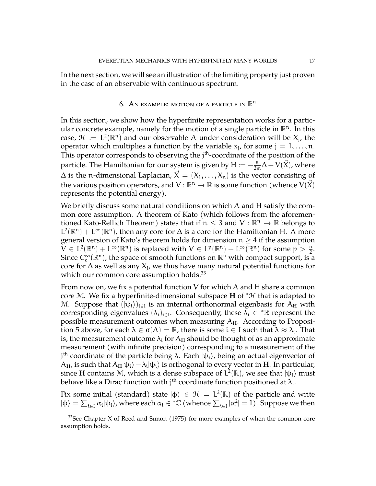In the next section, we will see an illustration of the limiting property just proven in the case of an observable with continuous spectrum.

# 6. An example: motion of a particle in  $\mathbb{R}^n$

<span id="page-16-0"></span>In this section, we show how the hyperfinite representation works for a particular concrete example, namely for the motion of a single particle in  $\mathbb{R}^n$ . In this case,  $\mathcal{H} := L^2(\mathbb{R}^n)$  and our observable A under consideration will be  $X_j$ , the operator which multiplies a function by the variable  $x_j$ , for some  $j = 1, \ldots, n$ . This operator corresponds to observing the j<sup>th</sup>-coordinate of the position of the particle. The Hamiltonian for our system is given by  $\mathsf{H}:=-\frac{\hbar}{2\mathfrak{m}}\Delta+\mathsf{V}(\vec{\mathsf{X}})$ , where  $\Delta$  is the n-dimensional Laplacian,  $\vec{X} = (X_1, \ldots, X_n)$  is the vector consisting of the various position operators, and  $V : \mathbb{R}^n \to \mathbb{R}$  is some function (whence  $V(\vec{X})$ represents the potential energy).

We briefly discuss some natural conditions on which A and H satisfy the common core assumption. A theorem of Kato (which follows from the aforementioned Kato-Rellich Theorem) states that if  $n \leq 3$  and  $V : \mathbb{R}^n \to \mathbb{R}$  belongs to  $L^2(\mathbb{R}^n) \to L^\infty(\mathbb{R}^n)$ , then are some for A is a gave for the Unitediate U. A magnetic  $L^2(\mathbb{R}^n) + L^\infty(\mathbb{R}^n)$ , then any core for  $\Delta$  is a core for the Hamiltonian H. A more general version of Kato's theorem holds for dimension  $n \geq 4$  if the assumption  $\widetilde{V} \in L^2(\mathbb{R}^n) + L^{\infty}(\mathbb{R}^n)$  is replaced with  $V \in L^p(\mathbb{R}^n) + L^{\infty}(\mathbb{R}^n)$  for some  $p > \frac{n}{2}$ . Since  $C_c^{\infty}(\mathbb{R}^n)$ , the space of smooth functions on  $\mathbb{R}^n$  with compact support, is a core for  $\Delta$  as well as any  $X_j$ , we thus have many natural potential functions for which our common core assumption holds.<sup>[33](#page-16-1)</sup>

From now on, we fix a potential function V for which A and H share a common core M. We fix a hyperfinite-dimensional subspace **H** of <sup>∗</sup>H that is adapted to M. Suppose that  $(|\psi_i\rangle)_{i\in I}$  is an internal orthonormal eigenbasis for  $A_H$  with corresponding eigenvalues  $(\lambda_i)_{i \in I}$ . Consequently, these  $\widetilde{\lambda}_i \in {^*}\mathbb{R}$  represent the possible measurement outcomes when measuring A**H**. According to Proposi-tion [5](#page-8-3) above, for each  $\lambda \in \sigma(A) = \mathbb{R}$ , there is some  $i \in I$  such that  $\lambda \approx \lambda_i$ . That is, the measurement outcome  $\lambda_i$  for  $A_H$  should be thought of as an approximate measurement (with infinite precision) corresponding to a measurement of the j<sup>th</sup> coordinate of the particle being λ. Each  $|\psi_{\mathfrak{t}}\rangle$ , being an actual eigenvector of  $A_{\bf H}$ , is such that  $A_{\bf H}|\psi_i\rangle-\lambda_i|\psi_i\rangle$  is orthogonal to every vector in  ${\bf H}.$  In particular, since **H** contains M, which is a dense subspace of  $L^2(\mathbb{R})$ , we see that  $|\psi_i\rangle$  must behave like a Dirac function with j $^{\text{th}}$  coordinate function positioned at  $\lambda_{\text{i}}.$ 

Fix some initial (standard) state  $|\phi\rangle \in \mathcal{H} = L^2(\mathbb{R})$  of the particle and write  $|\varphi\rangle=\sum_{i\in I}\alpha_i|\psi_i\rangle$ , where each  $\alpha_i\in{{^*}\mathbb{C}}$  (whence  $\sum_{i\in I}|\alpha_i^2|=1$  ). Suppose we then

<span id="page-16-1"></span> $33$ See Chapter X of Reed and Simon (1975) for more examples of when the common core assumption holds.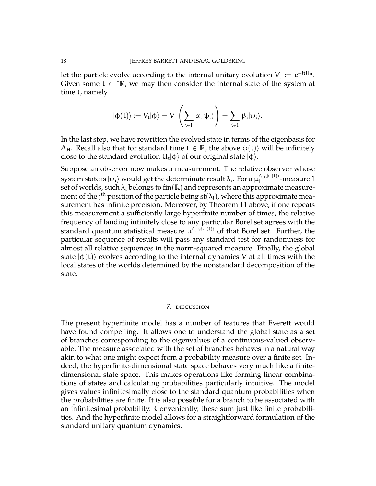let the particle evolve according to the internal unitary evolution  $V_t := e^{-\mathrm{i} t H_\mathrm{H}}.$ Given some  $t \in \mathbb{R}$ , we may then consider the internal state of the system at time t, namely

$$
|\varphi(t)\rangle:=V_t|\varphi\rangle=V_t\left(\sum_{i\in I}\,\alpha_i|\psi_i\rangle\right)=\sum_{i\in I}\,\beta_i|\psi_i\rangle.
$$

In the last step, we have rewritten the evolved state in terms of the eigenbasis for A<sub>H</sub>. Recall also that for standard time  $t \in \mathbb{R}$ , the above  $\phi(t)$  will be infinitely close to the standard evolution  $\mathsf{U}_\mathrm{t} |\varphi\rangle$  of our original state  $|\varphi\rangle.$ 

Suppose an observer now makes a measurement. The relative observer whose system state is  $\ket{\psi_i}$  would get the determinate result  $\lambda_{\rm i}$ . For a  $\mu^{{\rm A_H},|\psi(\rm t)\rangle}_{\rm i}$  $L^{\text{AH},|\Psi(\tau)\rangle}$ -measure 1 set of worlds, such  $\lambda_i$  belongs to fin(R) and represents an approximate measurement of the j $^{\text{th}}$  position of the particle being st( $\lambda_{\text{i}}$ ), where this approximate measurement has infinite precision. Moreover, by Theorem [11](#page-15-0) above, if one repeats this measurement a sufficiently large hyperfinite number of times, the relative frequency of landing infinitely close to any particular Borel set agrees with the standard quantum statistical measure  $\mu^{A,|\operatorname{st}\phi(\operatorname{t})\rangle}$  of that Borel set. Further, the particular sequence of results will pass any standard test for randomness for almost all relative sequences in the norm-squared measure. Finally, the global state  $|\phi(t)\rangle$  evolves according to the internal dynamics V at all times with the local states of the worlds determined by the nonstandard decomposition of the state.

#### 7. discussion

The present hyperfinite model has a number of features that Everett would have found compelling. It allows one to understand the global state as a set of branches corresponding to the eigenvalues of a continuous-valued observable. The measure associated with the set of branches behaves in a natural way akin to what one might expect from a probability measure over a finite set. Indeed, the hyperfinite-dimensional state space behaves very much like a finitedimensional state space. This makes operations like forming linear combinations of states and calculating probabilities particularly intuitive. The model gives values infinitesimally close to the standard quantum probabilities when the probabilities are finite. It is also possible for a branch to be associated with an infinitesimal probability. Conveniently, these sum just like finite probabilities. And the hyperfinite model allows for a straightforward formulation of the standard unitary quantum dynamics.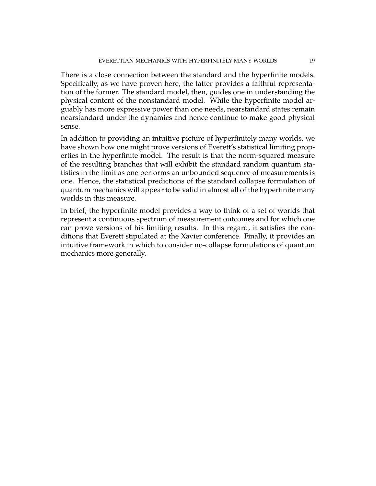There is a close connection between the standard and the hyperfinite models. Specifically, as we have proven here, the latter provides a faithful representation of the former. The standard model, then, guides one in understanding the physical content of the nonstandard model. While the hyperfinite model arguably has more expressive power than one needs, nearstandard states remain nearstandard under the dynamics and hence continue to make good physical sense.

In addition to providing an intuitive picture of hyperfinitely many worlds, we have shown how one might prove versions of Everett's statistical limiting properties in the hyperfinite model. The result is that the norm-squared measure of the resulting branches that will exhibit the standard random quantum statistics in the limit as one performs an unbounded sequence of measurements is one. Hence, the statistical predictions of the standard collapse formulation of quantum mechanics will appear to be valid in almost all of the hyperfinite many worlds in this measure.

In brief, the hyperfinite model provides a way to think of a set of worlds that represent a continuous spectrum of measurement outcomes and for which one can prove versions of his limiting results. In this regard, it satisfies the conditions that Everett stipulated at the Xavier conference. Finally, it provides an intuitive framework in which to consider no-collapse formulations of quantum mechanics more generally.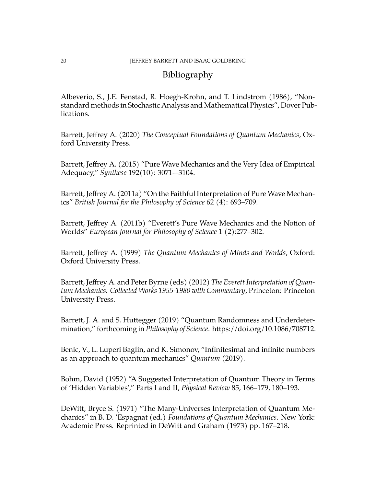# Bibliography

Albeverio, S., J.E. Fenstad, R. Hoegh-Krohn, and T. Lindstrom (1986), "Nonstandard methods in Stochastic Analysis and Mathematical Physics", Dover Publications.

Barrett, Jeffrey A. (2020) *The Conceptual Foundations of Quantum Mechanics*, Oxford University Press.

Barrett, Jeffrey A. (2015) "Pure Wave Mechanics and the Very Idea of Empirical Adequacy," *Synthese* 192(10): 3071-–3104.

Barrett, Jeffrey A. (2011a) "On the Faithful Interpretation of Pure Wave Mechanics" *British Journal for the Philosophy of Science* 62 (4): 693–709.

Barrett, Jeffrey A. (2011b) "Everett's Pure Wave Mechanics and the Notion of Worlds" *European Journal for Philosophy of Science* 1 (2):277–302.

Barrett, Jeffrey A. (1999) *The Quantum Mechanics of Minds and Worlds*, Oxford: Oxford University Press.

Barrett, Jeffrey A. and Peter Byrne (eds) (2012) *The Everett Interpretation of Quantum Mechanics: Collected Works 1955-1980 with Commentary*, Princeton: Princeton University Press.

Barrett, J. A. and S. Huttegger (2019) "Quantum Randomness and Underdetermination," forthcoming in *Philosophy of Science*. https://doi.org/10.1086/708712.

Benic, V., L. Luperi Baglin, and K. Simonov, "Infinitesimal and infinite numbers as an approach to quantum mechanics" *Quantum* (2019).

Bohm, David (1952) "A Suggested Interpretation of Quantum Theory in Terms of 'Hidden Variables'," Parts I and II, *Physical Review* 85, 166–179, 180–193.

DeWitt, Bryce S. (1971) "The Many-Universes Interpretation of Quantum Mechanics" in B. D. 'Espagnat (ed.) *Foundations of Quantum Mechanics*. New York: Academic Press. Reprinted in DeWitt and Graham (1973) pp. 167–218.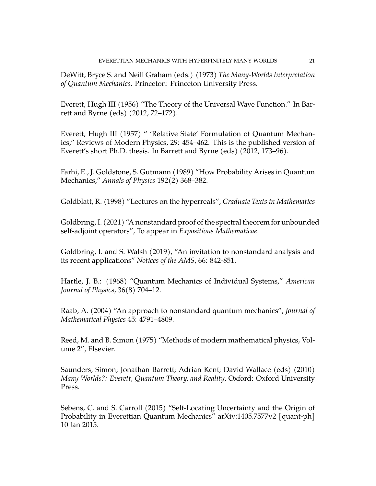DeWitt, Bryce S. and Neill Graham (eds.) (1973) *The Many-Worlds Interpretation of Quantum Mechanics*. Princeton: Princeton University Press.

Everett, Hugh III (1956) "The Theory of the Universal Wave Function." In Barrett and Byrne (eds) (2012, 72–172).

Everett, Hugh III (1957) " 'Relative State' Formulation of Quantum Mechanics," Reviews of Modern Physics, 29: 454–462. This is the published version of Everett's short Ph.D. thesis. In Barrett and Byrne (eds) (2012, 173–96).

Farhi, E., J. Goldstone, S. Gutmann (1989) "How Probability Arises in Quantum Mechanics," *Annals of Physics* 192(2) 368–382.

Goldblatt, R. (1998) "Lectures on the hyperreals", *Graduate Texts in Mathematics*

Goldbring, I. (2021) "A nonstandard proof of the spectral theorem for unbounded self-adjoint operators", To appear in *Expositions Mathematicae*.

Goldbring, I. and S. Walsh (2019), "An invitation to nonstandard analysis and its recent applications" *Notices of the AMS*, 66: 842-851.

Hartle, J. B.: (1968) "Quantum Mechanics of Individual Systems," *American Journal of Physics*, 36(8) 704–12.

Raab, A. (2004) "An approach to nonstandard quantum mechanics", *Journal of Mathematical Physics* 45: 4791–4809.

Reed, M. and B. Simon (1975) "Methods of modern mathematical physics, Volume 2", Elsevier.

Saunders, Simon; Jonathan Barrett; Adrian Kent; David Wallace (eds) (2010) *Many Worlds?: Everett, Quantum Theory, and Reality*, Oxford: Oxford University Press.

Sebens, C. and S. Carroll (2015) "Self-Locating Uncertainty and the Origin of Probability in Everettian Quantum Mechanics" arXiv:1405.7577v2 [quant-ph] 10 Jan 2015.